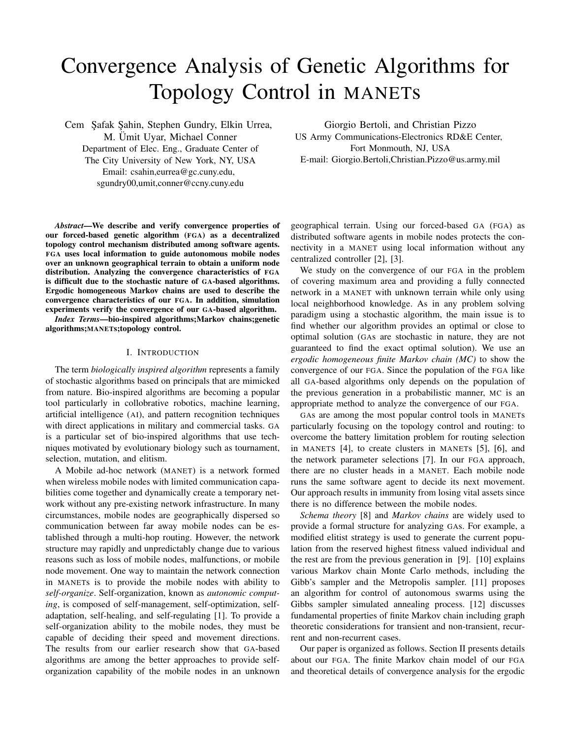# Convergence Analysis of Genetic Algorithms for Topology Control in MANETs

Cem Safak Sahin, Stephen Gundry, Elkin Urrea,

M. Ümit Uyar, Michael Conner Department of Elec. Eng., Graduate Center of The City University of New York, NY, USA Email: csahin,eurrea@gc.cuny.edu, sgundry00,umit,conner@ccny.cuny.edu

Giorgio Bertoli, and Christian Pizzo US Army Communications-Electronics RD&E Center, Fort Monmouth, NJ, USA E-mail: Giorgio.Bertoli,Christian.Pizzo@us.army.mil

*Abstract*—We describe and verify convergence properties of our forced-based genetic algorithm (FGA) as a decentralized topology control mechanism distributed among software agents. FGA uses local information to guide autonomous mobile nodes over an unknown geographical terrain to obtain a uniform node distribution. Analyzing the convergence characteristics of FGA is difficult due to the stochastic nature of GA-based algorithms. Ergodic homogeneous Markov chains are used to describe the convergence characteristics of our FGA. In addition, simulation experiments verify the convergence of our GA-based algorithm.

*Index Terms*—bio-inspired algorithms;Markov chains;genetic algorithms;MANETs;topology control.

### I. INTRODUCTION

The term *biologically inspired algorithm* represents a family of stochastic algorithms based on principals that are mimicked from nature. Bio-inspired algorithms are becoming a popular tool particularly in collobrative robotics, machine learning, artificial intelligence (AI), and pattern recognition techniques with direct applications in military and commercial tasks. GA is a particular set of bio-inspired algorithms that use techniques motivated by evolutionary biology such as tournament, selection, mutation, and elitism.

A Mobile ad-hoc network (MANET) is a network formed when wireless mobile nodes with limited communication capabilities come together and dynamically create a temporary network without any pre-existing network infrastructure. In many circumstances, mobile nodes are geographically dispersed so communication between far away mobile nodes can be established through a multi-hop routing. However, the network structure may rapidly and unpredictably change due to various reasons such as loss of mobile nodes, malfunctions, or mobile node movement. One way to maintain the network connection in MANETs is to provide the mobile nodes with ability to *self-organize*. Self-organization, known as *autonomic computing*, is composed of self-management, self-optimization, selfadaptation, self-healing, and self-regulating [1]. To provide a self-organization ability to the mobile nodes, they must be capable of deciding their speed and movement directions. The results from our earlier research show that GA-based algorithms are among the better approaches to provide selforganization capability of the mobile nodes in an unknown

geographical terrain. Using our forced-based GA (FGA) as distributed software agents in mobile nodes protects the connectivity in a MANET using local information without any centralized controller [2], [3].

We study on the convergence of our FGA in the problem of covering maximum area and providing a fully connected network in a MANET with unknown terrain while only using local neighborhood knowledge. As in any problem solving paradigm using a stochastic algorithm, the main issue is to find whether our algorithm provides an optimal or close to optimal solution (GAs are stochastic in nature, they are not guaranteed to find the exact optimal solution). We use an *ergodic homogeneous finite Markov chain (MC)* to show the convergence of our FGA. Since the population of the FGA like all GA-based algorithms only depends on the population of the previous generation in a probabilistic manner, MC is an appropriate method to analyze the convergence of our FGA.

GAs are among the most popular control tools in MANETs particularly focusing on the topology control and routing: to overcome the battery limitation problem for routing selection in MANETS [4], to create clusters in MANETs [5], [6], and the network parameter selections [7]. In our FGA approach, there are no cluster heads in a MANET. Each mobile node runs the same software agent to decide its next movement. Our approach results in immunity from losing vital assets since there is no difference between the mobile nodes.

*Schema theory* [8] and *Markov chains* are widely used to provide a formal structure for analyzing GAs. For example, a modified elitist strategy is used to generate the current population from the reserved highest fitness valued individual and the rest are from the previous generation in [9]. [10] explains various Markov chain Monte Carlo methods, including the Gibb's sampler and the Metropolis sampler. [11] proposes an algorithm for control of autonomous swarms using the Gibbs sampler simulated annealing process. [12] discusses fundamental properties of finite Markov chain including graph theoretic considerations for transient and non-transient, recurrent and non-recurrent cases.

Our paper is organized as follows. Section II presents details about our FGA. The finite Markov chain model of our FGA and theoretical details of convergence analysis for the ergodic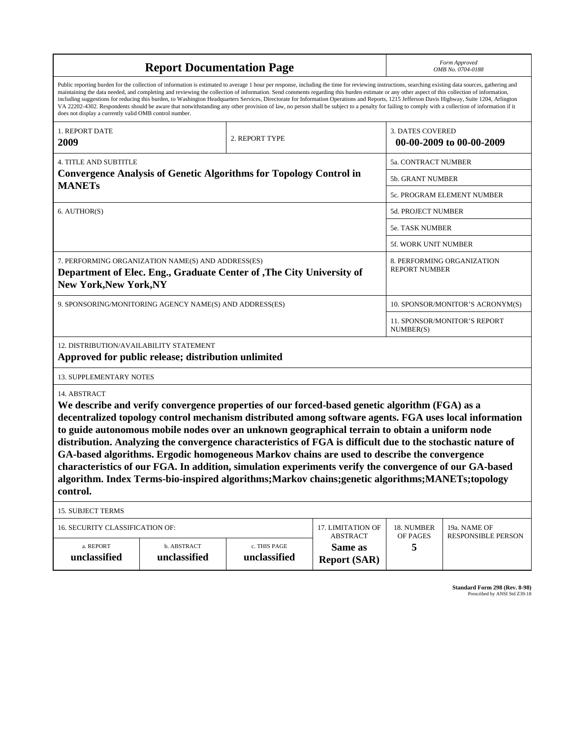| <b>Report Documentation Page</b>                                                                                                                                                                                                                                                                                                                                                                                                                                                                                                                                                                                                                                                                                                                                                                                                                                   |                             |                              |                                                   | Form Approved<br>OMB No. 0704-0188                 |                           |  |
|--------------------------------------------------------------------------------------------------------------------------------------------------------------------------------------------------------------------------------------------------------------------------------------------------------------------------------------------------------------------------------------------------------------------------------------------------------------------------------------------------------------------------------------------------------------------------------------------------------------------------------------------------------------------------------------------------------------------------------------------------------------------------------------------------------------------------------------------------------------------|-----------------------------|------------------------------|---------------------------------------------------|----------------------------------------------------|---------------------------|--|
| Public reporting burden for the collection of information is estimated to average 1 hour per response, including the time for reviewing instructions, searching existing data sources, gathering and<br>maintaining the data needed, and completing and reviewing the collection of information. Send comments regarding this burden estimate or any other aspect of this collection of information,<br>including suggestions for reducing this burden, to Washington Headquarters Services, Directorate for Information Operations and Reports, 1215 Jefferson Davis Highway, Suite 1204, Arlington<br>VA 22202-4302. Respondents should be aware that notwithstanding any other provision of law, no person shall be subject to a penalty for failing to comply with a collection of information if it<br>does not display a currently valid OMB control number. |                             |                              |                                                   |                                                    |                           |  |
| 1. REPORT DATE<br>2009                                                                                                                                                                                                                                                                                                                                                                                                                                                                                                                                                                                                                                                                                                                                                                                                                                             |                             | 2. REPORT TYPE               |                                                   | <b>3. DATES COVERED</b>                            | 00-00-2009 to 00-00-2009  |  |
| <b>4. TITLE AND SUBTITLE</b>                                                                                                                                                                                                                                                                                                                                                                                                                                                                                                                                                                                                                                                                                                                                                                                                                                       |                             |                              |                                                   | 5a. CONTRACT NUMBER                                |                           |  |
| <b>Convergence Analysis of Genetic Algorithms for Topology Control in</b><br><b>MANETs</b>                                                                                                                                                                                                                                                                                                                                                                                                                                                                                                                                                                                                                                                                                                                                                                         |                             |                              |                                                   | <b>5b. GRANT NUMBER</b>                            |                           |  |
| 6. AUTHOR(S)                                                                                                                                                                                                                                                                                                                                                                                                                                                                                                                                                                                                                                                                                                                                                                                                                                                       |                             |                              |                                                   | 5c. PROGRAM ELEMENT NUMBER                         |                           |  |
|                                                                                                                                                                                                                                                                                                                                                                                                                                                                                                                                                                                                                                                                                                                                                                                                                                                                    |                             |                              |                                                   | 5d. PROJECT NUMBER                                 |                           |  |
|                                                                                                                                                                                                                                                                                                                                                                                                                                                                                                                                                                                                                                                                                                                                                                                                                                                                    |                             |                              |                                                   | <b>5e. TASK NUMBER</b>                             |                           |  |
|                                                                                                                                                                                                                                                                                                                                                                                                                                                                                                                                                                                                                                                                                                                                                                                                                                                                    |                             |                              |                                                   | 5f. WORK UNIT NUMBER                               |                           |  |
| 7. PERFORMING ORGANIZATION NAME(S) AND ADDRESS(ES)<br>Department of Elec. Eng., Graduate Center of , The City University of<br><b>New York, New York, NY</b>                                                                                                                                                                                                                                                                                                                                                                                                                                                                                                                                                                                                                                                                                                       |                             |                              |                                                   | 8. PERFORMING ORGANIZATION<br><b>REPORT NUMBER</b> |                           |  |
| 9. SPONSORING/MONITORING AGENCY NAME(S) AND ADDRESS(ES)                                                                                                                                                                                                                                                                                                                                                                                                                                                                                                                                                                                                                                                                                                                                                                                                            |                             |                              |                                                   | 10. SPONSOR/MONITOR'S ACRONYM(S)                   |                           |  |
|                                                                                                                                                                                                                                                                                                                                                                                                                                                                                                                                                                                                                                                                                                                                                                                                                                                                    |                             |                              |                                                   | 11. SPONSOR/MONITOR'S REPORT<br>NUMBER(S)          |                           |  |
| 12. DISTRIBUTION/AVAILABILITY STATEMENT<br>Approved for public release; distribution unlimited                                                                                                                                                                                                                                                                                                                                                                                                                                                                                                                                                                                                                                                                                                                                                                     |                             |                              |                                                   |                                                    |                           |  |
| 13. SUPPLEMENTARY NOTES                                                                                                                                                                                                                                                                                                                                                                                                                                                                                                                                                                                                                                                                                                                                                                                                                                            |                             |                              |                                                   |                                                    |                           |  |
| 14. ABSTRACT<br>We describe and verify convergence properties of our forced-based genetic algorithm (FGA) as a<br>decentralized topology control mechanism distributed among software agents. FGA uses local information<br>to guide autonomous mobile nodes over an unknown geographical terrain to obtain a uniform node<br>distribution. Analyzing the convergence characteristics of FGA is difficult due to the stochastic nature of<br>GA-based algorithms. Ergodic homogeneous Markov chains are used to describe the convergence<br>characteristics of our FGA. In addition, simulation experiments verify the convergence of our GA-based<br>algorithm. Index Terms-bio-inspired algorithms; Markov chains; genetic algorithms; MANETs; topology<br>control.                                                                                              |                             |                              |                                                   |                                                    |                           |  |
| <b>15. SUBJECT TERMS</b>                                                                                                                                                                                                                                                                                                                                                                                                                                                                                                                                                                                                                                                                                                                                                                                                                                           |                             |                              |                                                   |                                                    |                           |  |
| 16. SECURITY CLASSIFICATION OF:                                                                                                                                                                                                                                                                                                                                                                                                                                                                                                                                                                                                                                                                                                                                                                                                                                    | 17. LIMITATION OF           | 18. NUMBER                   | 19a. NAME OF                                      |                                                    |                           |  |
| a. REPORT<br>unclassified                                                                                                                                                                                                                                                                                                                                                                                                                                                                                                                                                                                                                                                                                                                                                                                                                                          | b. ABSTRACT<br>unclassified | c. THIS PAGE<br>unclassified | <b>ABSTRACT</b><br>Same as<br><b>Report (SAR)</b> | OF PAGES<br>5                                      | <b>RESPONSIBLE PERSON</b> |  |

**Standard Form 298 (Rev. 8-98)**<br>Prescribed by ANSI Std Z39-18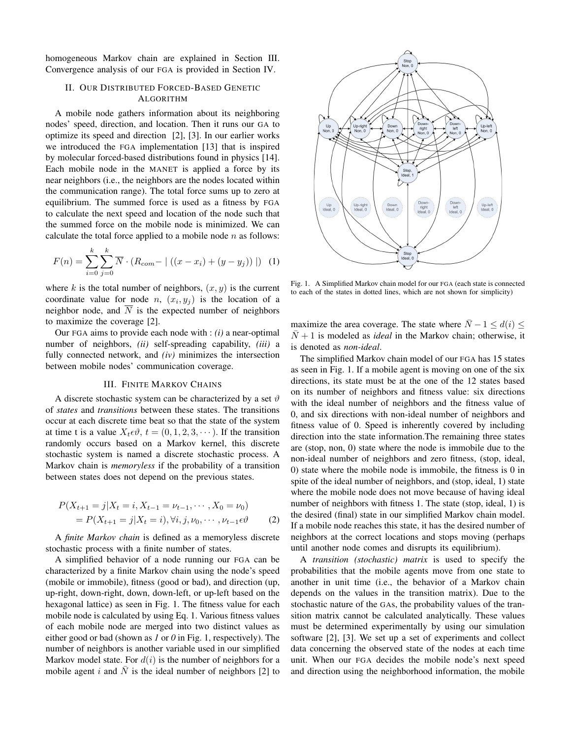homogeneous Markov chain are explained in Section III. Convergence analysis of our FGA is provided in Section IV.

## II. OUR DISTRIBUTED FORCED-BASED GENETIC ALGORITHM

A mobile node gathers information about its neighboring nodes' speed, direction, and location. Then it runs our GA to optimize its speed and direction [2], [3]. In our earlier works we introduced the FGA implementation [13] that is inspired by molecular forced-based distributions found in physics [14]. Each mobile node in the MANET is applied a force by its near neighbors (i.e., the neighbors are the nodes located within the communication range). The total force sums up to zero at equilibrium. The summed force is used as a fitness by FGA to calculate the next speed and location of the node such that the summed force on the mobile node is minimized. We can calculate the total force applied to a mobile node  $n$  as follows:

$$
F(n) = \sum_{i=0}^{k} \sum_{j=0}^{k} \overline{N} \cdot (R_{com} - |((x - x_i) + (y - y_j))|)
$$
 (1)

where k is the total number of neighbors,  $(x, y)$  is the current coordinate value for node n,  $(x_i, y_j)$  is the location of a neighbor node, and  $\overline{N}$  is the expected number of neighbors to maximize the coverage [2].

Our FGA aims to provide each node with : *(i)* a near-optimal number of neighbors, *(ii)* self-spreading capability, *(iii)* a fully connected network, and *(iv)* minimizes the intersection between mobile nodes' communication coverage.

#### III. FINITE MARKOV CHAINS

A discrete stochastic system can be characterized by a set  $\vartheta$ of *states* and *transitions* between these states. The transitions occur at each discrete time beat so that the state of the system at time t is a value  $X_t \in \mathcal{O}$ ,  $t = (0, 1, 2, 3, \cdots)$ . If the transition randomly occurs based on a Markov kernel, this discrete stochastic system is named a discrete stochastic process. A Markov chain is *memoryless* if the probability of a transition between states does not depend on the previous states.

$$
P(X_{t+1} = j | X_t = i, X_{t-1} = \nu_{t-1}, \cdots, X_0 = \nu_0)
$$
  
=  $P(X_{t+1} = j | X_t = i), \forall i, j, \nu_0, \cdots, \nu_{t-1} \in \vartheta$  (2)

A *finite Markov chain* is defined as a memoryless discrete stochastic process with a finite number of states.

A simplified behavior of a node running our FGA can be characterized by a finite Markov chain using the node's speed (mobile or immobile), fitness (good or bad), and direction (up, up-right, down-right, down, down-left, or up-left based on the hexagonal lattice) as seen in Fig. 1. The fitness value for each mobile node is calculated by using Eq. 1. Various fitness values of each mobile node are merged into two distinct values as either good or bad (shown as *1* or *0* in Fig. 1, respectively). The number of neighbors is another variable used in our simplified Markov model state. For  $d(i)$  is the number of neighbors for a mobile agent i and  $\overline{N}$  is the ideal number of neighbors [2] to



Fig. 1. A Simplified Markov chain model for our FGA (each state is connected to each of the states in dotted lines, which are not shown for simplicity)

maximize the area coverage. The state where  $\overline{N} - 1 \le d(i) \le$  $N+1$  is modeled as *ideal* in the Markov chain; otherwise, it is denoted as *non-ideal*.

The simplified Markov chain model of our FGA has 15 states as seen in Fig. 1. If a mobile agent is moving on one of the six directions, its state must be at the one of the 12 states based on its number of neighbors and fitness value: six directions with the ideal number of neighbors and the fitness value of 0, and six directions with non-ideal number of neighbors and fitness value of 0. Speed is inherently covered by including direction into the state information.The remaining three states are (stop, non, 0) state where the node is immobile due to the non-ideal number of neighbors and zero fitness, (stop, ideal, 0) state where the mobile node is immobile, the fitness is 0 in spite of the ideal number of neighbors, and (stop, ideal, 1) state where the mobile node does not move because of having ideal number of neighbors with fitness 1. The state (stop, ideal, 1) is the desired (final) state in our simplified Markov chain model. If a mobile node reaches this state, it has the desired number of neighbors at the correct locations and stops moving (perhaps until another node comes and disrupts its equilibrium).

A *transition (stochastic) matrix* is used to specify the probabilities that the mobile agents move from one state to another in unit time (i.e., the behavior of a Markov chain depends on the values in the transition matrix). Due to the stochastic nature of the GAs, the probability values of the transition matrix cannot be calculated analytically. These values must be determined experimentally by using our simulation software [2], [3]. We set up a set of experiments and collect data concerning the observed state of the nodes at each time unit. When our FGA decides the mobile node's next speed and direction using the neighborhood information, the mobile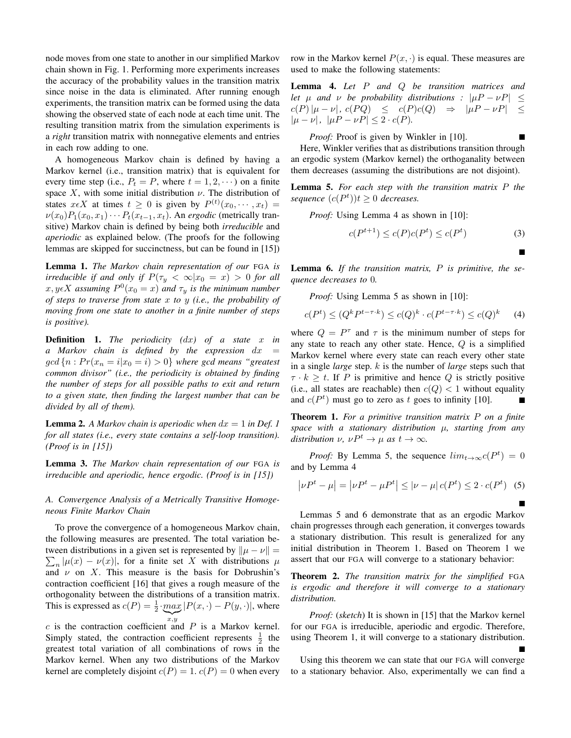node moves from one state to another in our simplified Markov chain shown in Fig. 1. Performing more experiments increases the accuracy of the probability values in the transition matrix since noise in the data is eliminated. After running enough experiments, the transition matrix can be formed using the data showing the observed state of each node at each time unit. The resulting transition matrix from the simulation experiments is a *right* transition matrix with nonnegative elements and entries in each row adding to one.

A homogeneous Markov chain is defined by having a Markov kernel (i.e., transition matrix) that is equivalent for every time step (i.e.,  $P_t = P$ , where  $t = 1, 2, \dots$ ) on a finite space X, with some initial distribution  $\nu$ . The distribution of states  $x \in X$  at times  $t \geq 0$  is given by  $P^{(t)}(x_0, \dots, x_t) =$  $\nu(x_0)P_1(x_0, x_1)\cdots P_t(x_{t-1}, x_t)$ . An *ergodic* (metrically transitive) Markov chain is defined by being both *irreducible* and *aperiodic* as explained below. (The proofs for the following lemmas are skipped for succinctness, but can be found in [15])

Lemma 1. *The Markov chain representation of our* FGA *is irreducible if and only if*  $P(\tau_y < \infty | x_0 = x) > 0$  *for all*  $x, y \in X$  assuming  $P^0(x_0 = x)$  and  $\tau_y$  is the minimum number *of steps to traverse from state* x *to* y *(i.e., the probability of moving from one state to another in a finite number of steps is positive).*

Definition 1. *The periodicity (*dx*) of a state* x *in a Markov chain is defined by the expression* dx =  $\gcd\{n : Pr(x_n = i | x_0 = i) > 0\}$  where gcd means "greatest" *common divisor" (i.e., the periodicity is obtained by finding the number of steps for all possible paths to exit and return to a given state, then finding the largest number that can be divided by all of them).*

**Lemma 2.** A Markov chain is aperiodic when  $dx = 1$  in Def. 1 *for all states (i.e., every state contains a self-loop transition). (Proof is in [15])*

Lemma 3. *The Markov chain representation of our* FGA *is irreducible and aperiodic, hence ergodic. (Proof is in [15])*

*A. Convergence Analysis of a Metrically Transitive Homogeneous Finite Markov Chain*

To prove the convergence of a homogeneous Markov chain, the following measures are presented. The total variation between distributions in a given set is represented by  $\|\mu - \nu\| =$  $\sum_{n} |\mu(x) - \nu(x)|$ , for a finite set X with distributions  $\mu$ and  $\nu$  on X. This measure is the basis for Dobrushin's contraction coefficient [16] that gives a rough measure of the orthogonality between the distributions of a transition matrix. This is expressed as  $c(P) = \frac{1}{2} \cdot \max_{y} |P(x, \cdot) - P(y, \cdot)|$ , where  $\sum_{x,y}$ 

 $c$  is the contraction coefficient and  $P$  is a Markov kernel. Simply stated, the contraction coefficient represents  $\frac{1}{2}$  the greatest total variation of all combinations of rows in the Markov kernel. When any two distributions of the Markov kernel are completely disjoint  $c(P) = 1$ .  $c(P) = 0$  when every row in the Markov kernel  $P(x, \cdot)$  is equal. These measures are used to make the following statements:

Lemma 4. *Let* P *and* Q *be transition matrices and let*  $\mu$  *and*  $\nu$  *be probability distributions :*  $|\mu P - \nu P| \le$  $c(P)|\mu - \nu|, c(PQ) \leq c(P)c(Q) \Rightarrow |\mu P - \nu P| \leq$  $|\mu - \nu|$ ,  $|\mu P - \nu P| \leq 2 \cdot c(P)$ .

*Proof:* Proof is given by Winkler in [10].

Here, Winkler verifies that as distributions transition through an ergodic system (Markov kernel) the orthoganality between them decreases (assuming the distributions are not disjoint).

Lemma 5. *For each step with the transition matrix* P *the sequence*  $(c(P<sup>t</sup>))t \ge 0$  *decreases.* 

*Proof:* Using Lemma 4 as shown in [10]:

$$
c(P^{t+1}) \le c(P)c(P^t) \le c(P^t)
$$
\n<sup>(3)</sup>

г

Lemma 6. *If the transition matrix,* P *is primitive, the sequence decreases to* 0*.*

*Proof:* Using Lemma 5 as shown in [10]:

$$
c(Pt) \le (Qk Pt-\tau \cdot k) \le c(Q)k \cdot c(Pt-\tau \cdot k) \le c(Q)k \tag{4}
$$

where  $Q = P^{\tau}$  and  $\tau$  is the minimum number of steps for any state to reach any other state. Hence,  $Q$  is a simplified Markov kernel where every state can reach every other state in a single *large* step. k is the number of *large* steps such that  $\tau \cdot k \geq t$ . If P is primitive and hence Q is strictly positive (i.e., all states are reachable) then  $c(Q) < 1$  without equality and  $c(P^t)$  must go to zero as t goes to infinity [10].

Theorem 1. *For a primitive transition matrix* P *on a finite space with a stationary distribution* µ*, starting from any distribution*  $\nu$ ,  $\nu P^t \rightarrow \mu$  *as*  $t \rightarrow \infty$ *.* 

*Proof:* By Lemma 5, the sequence  $lim_{t\to\infty} c(P^t) = 0$ and by Lemma 4

$$
|\nu P^t - \mu| = |\nu P^t - \mu P^t| \le |\nu - \mu| c(P^t) \le 2 \cdot c(P^t) \quad (5)
$$

Lemmas 5 and 6 demonstrate that as an ergodic Markov chain progresses through each generation, it converges towards a stationary distribution. This result is generalized for any initial distribution in Theorem 1. Based on Theorem 1 we assert that our FGA will converge to a stationary behavior:

Theorem 2. *The transition matrix for the simplified* FGA *is ergodic and therefore it will converge to a stationary distribution.*

*Proof:* (*sketch*) It is shown in [15] that the Markov kernel for our FGA is irreducible, aperiodic and ergodic. Therefore, using Theorem 1, it will converge to a stationary distribution.

Using this theorem we can state that our FGA will converge to a stationary behavior. Also, experimentally we can find a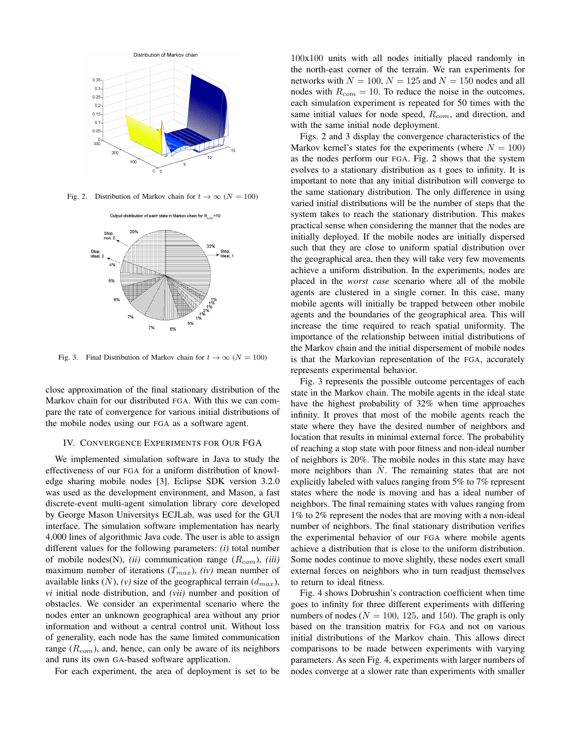

Fig. 2. Distribution of Markov chain for  $t \to \infty$  ( $N = 100$ )



Fig. 3. Final Distribution of Markov chain for  $t \to \infty$  ( $N = 100$ )

close approximation of the final stationary distribution of the Markov chain for our distributed FGA. With this we can compare the rate of convergence for various initial distributions of the mobile nodes using our FGA as a software agent.

#### IV. CONVERGENCE EXPERIMENTS FOR OUR FGA

We implemented simulation software in Java to study the effectiveness of our FGA for a uniform distribution of knowledge sharing mobile nodes [3]. Eclipse SDK version 3.2.0 was used as the development environment, and Mason, a fast discrete-event multi-agent simulation library core developed by George Mason Universitys ECJLab, was used for the GUI interface. The simulation software implementation has nearly 4,000 lines of algorithmic Java code. The user is able to assign different values for the following parameters: *(i)* total number of mobile nodes(N), *(ii)* communication range ( $R_{com}$ ), *(iii)* maximum number of iterations  $(T_{max})$ ,  $(iv)$  mean number of available links  $(N)$ ,  $(v)$  size of the geographical terrain  $(d_{max})$ , *vi* initial node distribution, and *(vii)* number and position of obstacles. We consider an experimental scenario where the nodes enter an unknown geographical area without any prior information and without a central control unit. Without loss of generality, each node has the same limited communication range  $(R_{com})$ , and, hence, can only be aware of its neighbors and runs its own GA-based software application.

For each experiment, the area of deployment is set to be

100x100 units with all nodes initially placed randomly in the north-east corner of the terrain. We ran experiments for networks with  $N = 100$ ,  $N = 125$  and  $N = 150$  nodes and all nodes with  $R_{com} = 10$ . To reduce the noise in the outcomes, each simulation experiment is repeated for 50 times with the same initial values for node speed,  $R_{com}$ , and direction, and with the same initial node deployment.

Figs. 2 and 3 display the convergence characteristics of the Markov kernel's states for the experiments (where  $N = 100$ ) as the nodes perform our FGA. Fig. 2 shows that the system evolves to a stationary distribution as t goes to infinity. It is important to note that any initial distribution will converge to the same stationary distribution. The only difference in using varied initial distributions will be the number of steps that the system takes to reach the stationary distribution. This makes practical sense when considering the manner that the nodes are initially deployed. If the mobile nodes are initially dispersed such that they are close to uniform spatial distribution over the geographical area, then they will take very few movements achieve a uniform distribution. In the experiments, nodes are placed in the *worst case* scenario where all of the mobile agents are clustered in a single corner. In this case, many mobile agents will initially be trapped between other mobile agents and the boundaries of the geographical area. This will increase the time required to reach spatial uniformity. The importance of the relationship between initial distributions of the Markov chain and the initial dispersement of mobile nodes is that the Markovian representation of the FGA, accurately represents experimental behavior.

Fig. 3 represents the possible outcome percentages of each state in the Markov chain. The mobile agents in the ideal state have the highest probability of 32% when time approaches infinity. It proves that most of the mobile agents reach the state where they have the desired number of neighbors and location that results in minimal external force. The probability of reaching a stop state with poor fitness and non-ideal number of neighbors is 20%. The mobile nodes in this state may have more neighbors than  $\overline{N}$ . The remaining states that are not explicitly labeled with values ranging from 5% to 7% represent states where the node is moving and has a ideal number of neighbors. The final remaining states with values ranging from 1% to 2% represent the nodes that are moving with a non-ideal number of neighbors. The final stationary distribution verifies the experimental behavior of our FGA where mobile agents achieve a distribution that is close to the uniform distribution. Some nodes continue to move slightly, these nodes exert small external forces on neighbors who in turn readjust themselves to return to ideal fitness.

Fig. 4 shows Dobrushin's contraction coefficient when time goes to infinity for three different experiments with differing numbers of nodes ( $N = 100$ , 125, and 150). The graph is only based on the transition matrix for FGA and not on various initial distributions of the Markov chain. This allows direct comparisons to be made between experiments with varying parameters. As seen Fig. 4, experiments with larger numbers of nodes converge at a slower rate than experiments with smaller